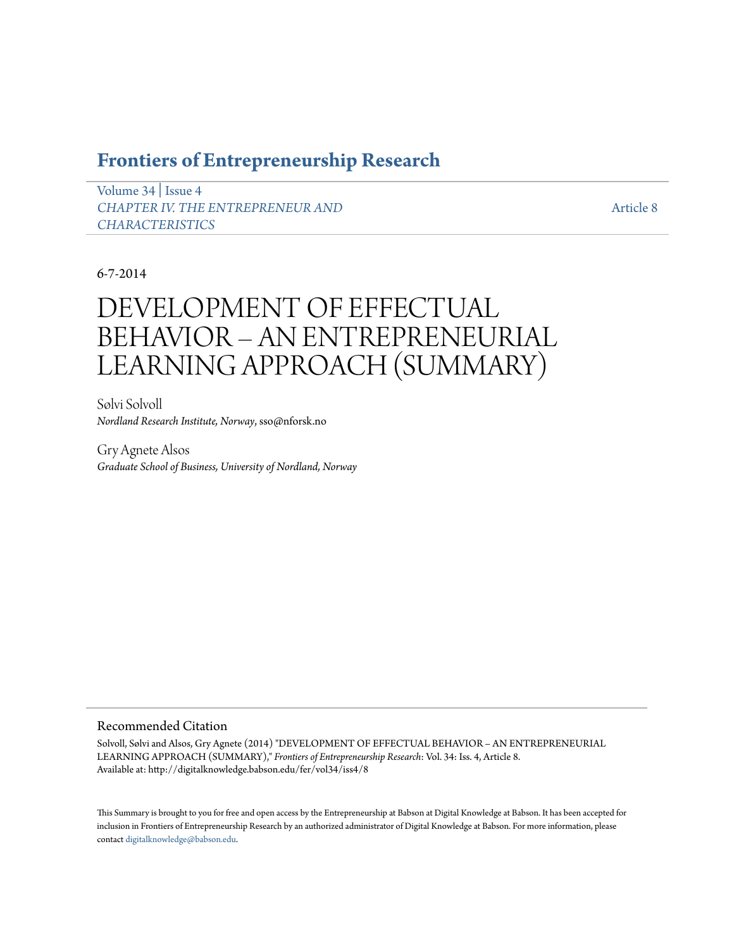## **[Frontiers of Entrepreneurship Research](http://digitalknowledge.babson.edu/fer)**

[Volume 34](http://digitalknowledge.babson.edu/fer/vol34) | [Issue 4](http://digitalknowledge.babson.edu/fer/vol34/iss4) *[CHAPTER IV. THE ENTREPRENEUR AND](http://digitalknowledge.babson.edu/fer/vol34/iss4) [CHARACTERISTICS](http://digitalknowledge.babson.edu/fer/vol34/iss4)*

[Article 8](http://digitalknowledge.babson.edu/fer/vol34/iss4/8)

### 6-7-2014

# DEVELOPMENT OF EFFECTUAL BEHAVIOR – AN ENTREPRENEURIAL LEARNING APPROACH (SUMMARY)

Sølvi Solvoll *Nordland Research Institute, Norway*, sso@nforsk.no

Gry Agnete Alsos *Graduate School of Business, University of Nordland, Norway*

#### Recommended Citation

Solvoll, Sølvi and Alsos, Gry Agnete (2014) "DEVELOPMENT OF EFFECTUAL BEHAVIOR – AN ENTREPRENEURIAL LEARNING APPROACH (SUMMARY)," *Frontiers of Entrepreneurship Research*: Vol. 34: Iss. 4, Article 8. Available at: http://digitalknowledge.babson.edu/fer/vol34/iss4/8

This Summary is brought to you for free and open access by the Entrepreneurship at Babson at Digital Knowledge at Babson. It has been accepted for inclusion in Frontiers of Entrepreneurship Research by an authorized administrator of Digital Knowledge at Babson. For more information, please contact [digitalknowledge@babson.edu](mailto:digitalknowledge@babson.edu).